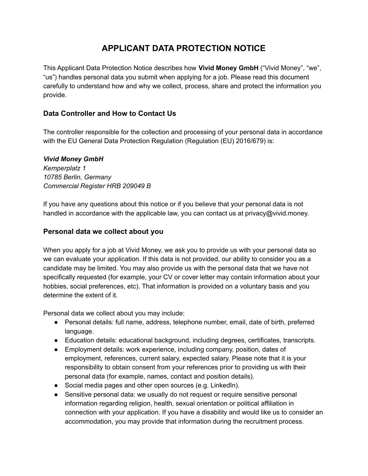# **APPLICANT DATA PROTECTION NOTICE**

This Applicant Data Protection Notice describes how **Vivid Money GmbH** ("Vivid Money", "we", "us") handles personal data you submit when applying for a job. Please read this document carefully to understand how and why we collect, process, share and protect the information you provide.

# **Data Controller and How to Contact Us**

The controller responsible for the collection and processing of your personal data in accordance with the EU General Data Protection Regulation (Regulation (EU) 2016/679) is:

#### *Vivid Money GmbH*

*Kemperplatz 1 10785 Berlin, Germany Commercial Register HRB 209049 B*

If you have any questions about this notice or if you believe that your personal data is not handled in accordance with the applicable law, you can contact us at privacy@vivid.money.

#### **Personal data we collect about you**

When you apply for a job at Vivid Money, we ask you to provide us with your personal data so we can evaluate your application. If this data is not provided, our ability to consider you as a candidate may be limited. You may also provide us with the personal data that we have not specifically requested (for example, your CV or cover letter may contain information about your hobbies, social preferences, etc). That information is provided on a voluntary basis and you determine the extent of it.

Personal data we collect about you may include:

- Personal details: full name, address, telephone number, email, date of birth, preferred language.
- Education details: educational background, including degrees, certificates, transcripts.
- Employment details: work experience, including company, position, dates of employment, references, current salary, expected salary. Please note that it is your responsibility to obtain consent from your references prior to providing us with their personal data (for example, names, contact and position details).
- Social media pages and other open sources (e.g. LinkedIn).
- Sensitive personal data: we usually do not request or require sensitive personal information regarding religion, health, sexual orientation or political affiliation in connection with your application. If you have a disability and would like us to consider an accommodation, you may provide that information during the recruitment process.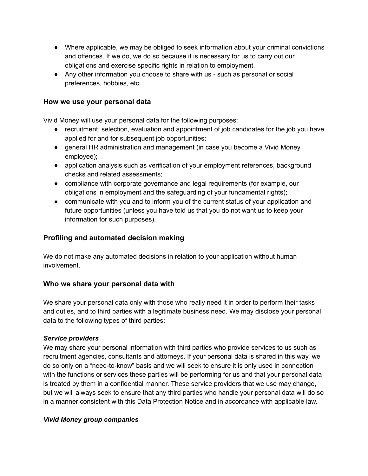- Where applicable, we may be obliged to seek information about your criminal convictions and offences. If we do, we do so because it is necessary for us to carry out our obligations and exercise specific rights in relation to employment.
- Any other information you choose to share with us such as personal or social preferences, hobbies, etc.

#### **How we use your personal data**

Vivid Money will use your personal data for the following purposes:

- recruitment, selection, evaluation and appointment of job candidates for the job you have applied for and for subsequent job opportunities;
- general HR administration and management (in case you become a Vivid Money employee);
- application analysis such as verification of your employment references, background checks and related assessments;
- compliance with corporate governance and legal requirements (for example, our obligations in employment and the safeguarding of your fundamental rights);
- communicate with you and to inform you of the current status of your application and future opportunities (unless you have told us that you do not want us to keep your information for such purposes).

# **Profiling and automated decision making**

We do not make any automated decisions in relation to your application without human involvement.

## **Who we share your personal data with**

We share your personal data only with those who really need it in order to perform their tasks and duties, and to third parties with a legitimate business need. We may disclose your personal data to the following types of third parties:

#### *Service providers*

We may share your personal information with third parties who provide services to us such as recruitment agencies, consultants and attorneys. If your personal data is shared in this way, we do so only on a "need-to-know" basis and we will seek to ensure it is only used in connection with the functions or services these parties will be performing for us and that your personal data is treated by them in a confidential manner. These service providers that we use may change, but we will always seek to ensure that any third parties who handle your personal data will do so in a manner consistent with this Data Protection Notice and in accordance with applicable law.

#### *Vivid Money group companies*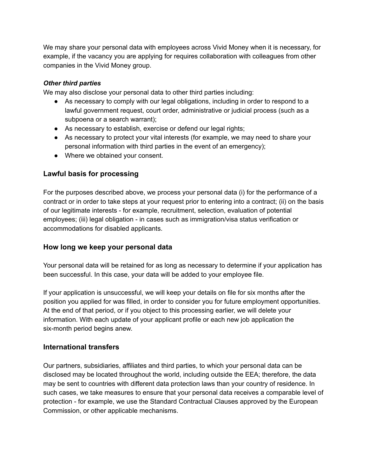We may share your personal data with employees across Vivid Money when it is necessary, for example, if the vacancy you are applying for requires collaboration with colleagues from other companies in the Vivid Money group.

#### *Other third parties*

We may also disclose your personal data to other third parties including:

- As necessary to comply with our legal obligations, including in order to respond to a lawful government request, court order, administrative or judicial process (such as a subpoena or a search warrant);
- As necessary to establish, exercise or defend our legal rights;
- As necessary to protect your vital interests (for example, we may need to share your personal information with third parties in the event of an emergency);
- Where we obtained your consent.

# **Lawful basis for processing**

For the purposes described above, we process your personal data (i) for the performance of a contract or in order to take steps at your request prior to entering into a contract; (ii) on the basis of our legitimate interests - for example, recruitment, selection, evaluation of potential employees; (iii) legal obligation - in cases such as immigration/visa status verification or accommodations for disabled applicants.

## **How long we keep your personal data**

Your personal data will be retained for as long as necessary to determine if your application has been successful. In this case, your data will be added to your employee file.

If your application is unsuccessful, we will keep your details on file for six months after the position you applied for was filled, in order to consider you for future employment opportunities. At the end of that period, or if you object to this processing earlier, we will delete your information. With each update of your applicant profile or each new job application the six-month period begins anew.

## **International transfers**

Our partners, subsidiaries, affiliates and third parties, to which your personal data can be disclosed may be located throughout the world, including outside the EEA; therefore, the data may be sent to countries with different data protection laws than your country of residence. In such cases, we take measures to ensure that your personal data receives a comparable level of protection - for example, we use the Standard Contractual Clauses approved by the European Commission, or other applicable mechanisms.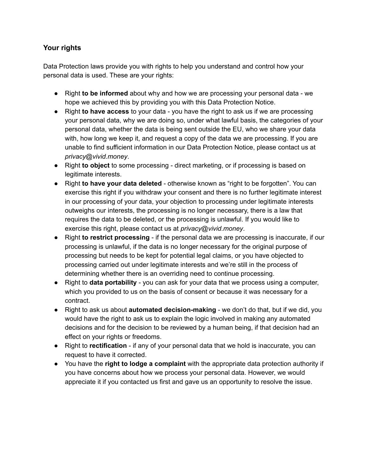# **Your rights**

Data Protection laws provide you with rights to help you understand and control how your personal data is used. These are your rights:

- Right **to be informed** about why and how we are processing your personal data we hope we achieved this by providing you with this Data Protection Notice.
- Right **to have access** to your data you have the right to ask us if we are processing your personal data, why we are doing so, under what lawful basis, the categories of your personal data, whether the data is being sent outside the EU, who we share your data with, how long we keep it, and request a copy of the data we are processing. If you are unable to find sufficient information in our Data Protection Notice, please contact us at *privacy@vivid.money*.
- Right **to object** to some processing direct marketing, or if processing is based on legitimate interests.
- Right **to have your data deleted** otherwise known as "right to be forgotten". You can exercise this right if you withdraw your consent and there is no further legitimate interest in our processing of your data, your objection to processing under legitimate interests outweighs our interests, the processing is no longer necessary, there is a law that requires the data to be deleted, or the processing is unlawful. If you would like to exercise this right, please contact us at *privacy@vivid.money*.
- Right **to restrict processing** if the personal data we are processing is inaccurate, if our processing is unlawful, if the data is no longer necessary for the original purpose of processing but needs to be kept for potential legal claims, or you have objected to processing carried out under legitimate interests and we're still in the process of determining whether there is an overriding need to continue processing.
- Right to **data portability** you can ask for your data that we process using a computer, which you provided to us on the basis of consent or because it was necessary for a contract.
- Right to ask us about **automated decision-making** we don't do that, but if we did, you would have the right to ask us to explain the logic involved in making any automated decisions and for the decision to be reviewed by a human being, if that decision had an effect on your rights or freedoms.
- Right to **rectification** if any of your personal data that we hold is inaccurate, you can request to have it corrected.
- You have the **right to lodge a complaint** with the appropriate data protection authority if you have concerns about how we process your personal data. However, we would appreciate it if you contacted us first and gave us an opportunity to resolve the issue.